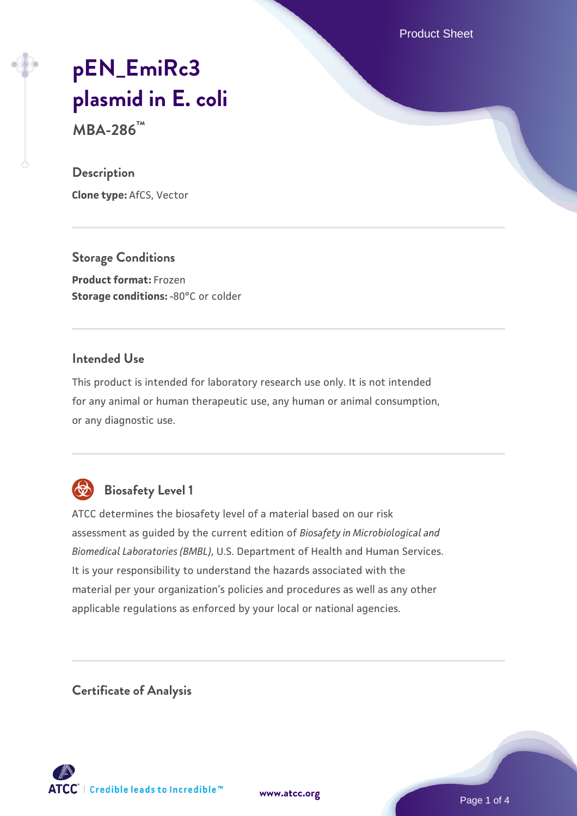Product Sheet

# **[pEN\\_EmiRc3](https://www.atcc.org/products/mba-286) [plasmid in E. coli](https://www.atcc.org/products/mba-286)**

**MBA-286™**

#### **Description**

**Clone type:** AfCS, Vector

**Storage Conditions Product format:** Frozen **Storage conditions: -80°C or colder** 

#### **Intended Use**

This product is intended for laboratory research use only. It is not intended for any animal or human therapeutic use, any human or animal consumption, or any diagnostic use.



# **Biosafety Level 1**

ATCC determines the biosafety level of a material based on our risk assessment as guided by the current edition of *Biosafety in Microbiological and Biomedical Laboratories (BMBL)*, U.S. Department of Health and Human Services. It is your responsibility to understand the hazards associated with the material per your organization's policies and procedures as well as any other applicable regulations as enforced by your local or national agencies.

**Certificate of Analysis**

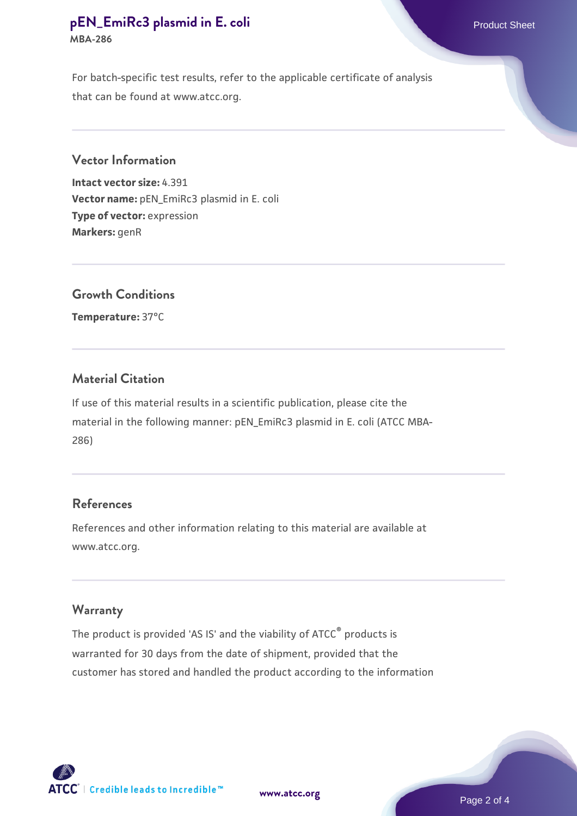#### **[pEN\\_EmiRc3 plasmid in E. coli](https://www.atcc.org/products/mba-286)** Product Sheet **MBA-286**

For batch-specific test results, refer to the applicable certificate of analysis that can be found at www.atcc.org.

#### **Vector Information**

**Intact vector size:** 4.391 **Vector name:** pEN\_EmiRc3 plasmid in E. coli **Type of vector:** expression **Markers:** genR

## **Growth Conditions**

**Temperature:** 37°C

## **Material Citation**

If use of this material results in a scientific publication, please cite the material in the following manner: pEN\_EmiRc3 plasmid in E. coli (ATCC MBA-286)

#### **References**

References and other information relating to this material are available at www.atcc.org.

## **Warranty**

The product is provided 'AS IS' and the viability of ATCC<sup>®</sup> products is warranted for 30 days from the date of shipment, provided that the customer has stored and handled the product according to the information



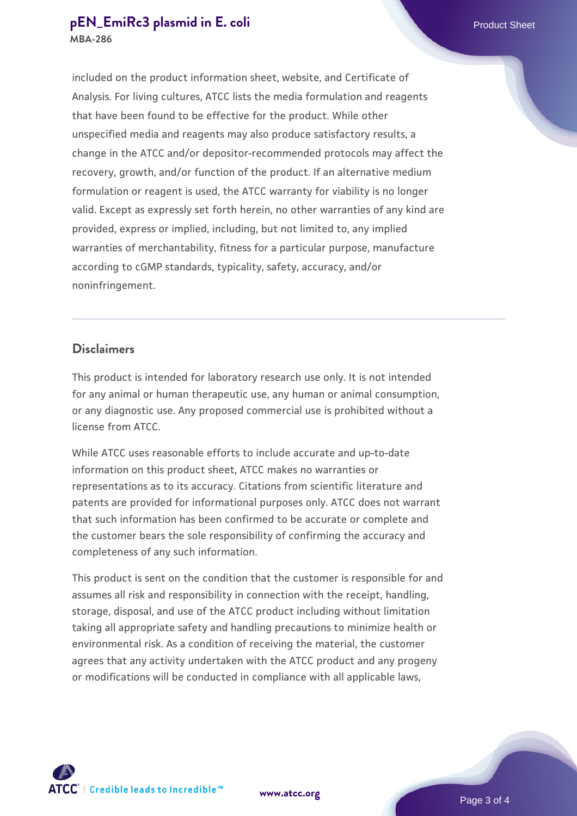#### **[pEN\\_EmiRc3 plasmid in E. coli](https://www.atcc.org/products/mba-286)** Product Sheet **MBA-286**

included on the product information sheet, website, and Certificate of Analysis. For living cultures, ATCC lists the media formulation and reagents that have been found to be effective for the product. While other unspecified media and reagents may also produce satisfactory results, a change in the ATCC and/or depositor-recommended protocols may affect the recovery, growth, and/or function of the product. If an alternative medium formulation or reagent is used, the ATCC warranty for viability is no longer valid. Except as expressly set forth herein, no other warranties of any kind are provided, express or implied, including, but not limited to, any implied warranties of merchantability, fitness for a particular purpose, manufacture according to cGMP standards, typicality, safety, accuracy, and/or noninfringement.

#### **Disclaimers**

This product is intended for laboratory research use only. It is not intended for any animal or human therapeutic use, any human or animal consumption, or any diagnostic use. Any proposed commercial use is prohibited without a license from ATCC.

While ATCC uses reasonable efforts to include accurate and up-to-date information on this product sheet, ATCC makes no warranties or representations as to its accuracy. Citations from scientific literature and patents are provided for informational purposes only. ATCC does not warrant that such information has been confirmed to be accurate or complete and the customer bears the sole responsibility of confirming the accuracy and completeness of any such information.

This product is sent on the condition that the customer is responsible for and assumes all risk and responsibility in connection with the receipt, handling, storage, disposal, and use of the ATCC product including without limitation taking all appropriate safety and handling precautions to minimize health or environmental risk. As a condition of receiving the material, the customer agrees that any activity undertaken with the ATCC product and any progeny or modifications will be conducted in compliance with all applicable laws,



**[www.atcc.org](http://www.atcc.org)**

Page 3 of 4